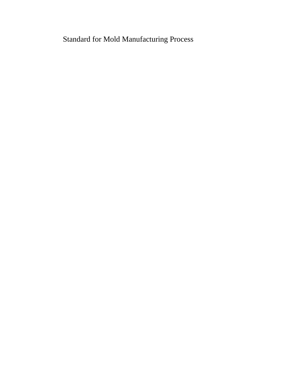Standard for Mold Manufacturing Process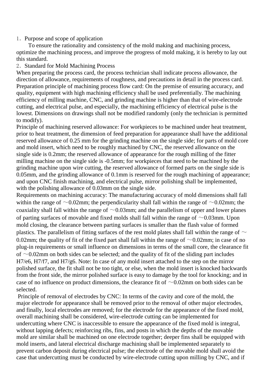## 1.Purpose and scope of application

To ensure the rationality and consistency of the mold making and machining process, optimize the machining process, and improve the progress of mold making, it is hereby to lay out this standard.

## 2. Standard for Mold Machining Process

When preparing the process card, the process technician shall indicate process allowance, the direction of allowance, requirements of roughness, and precautions in detail in the process card. Preparation principle of machining process flow card: On the premise of ensuring accuracy, and quality, equipment with high machining efficiency shall be used preferentially. The machining efficiency of milling machine, CNC, and grinding machine is higher than that of wire-electrode cutting, and electrical pulse, and especially, the machining efficiency of electrical pulse is the lowest. Dimensions on drawings shall not be modified randomly (only the technician is permitted to modify).

Principle of machining reserved allowance: For workpieces to be machined under heat treatment, prior to heat treatment, the dimension of feed preparation for appearance shall have the additional reserved allowance of 0.25 mm for the grinding machine on the single side; for parts of mold core and mold insert, which need to be roughly machined by CNC, the reserved allowance on the single side is 0.2mm; the reserved allowance of appearance for the rough milling of the fitter milling machine on the single side is -0.5mm; for workpieces that need to be machined by the grinding machine upon wire cutting, the reserved allowance of formed parts on the single side is 0.05mm, and the grinding allowance of 0.1mm is reserved for the rough machining of appearance; and upon CNC finish machining, and electrical pulse, mirror polishing shall be implemented, with the polishing allowance of 0.03mm on the single side.

Requirements on machining accuracy: The manufacturing accuracy of mold dimensions shall fall within the range of  $\sim 0.02$ mm; the perpendicularity shall fall within the range of  $\sim 0.02$ mm; the coaxiality shall fall within the range of  $\sim 0.03$ mm; and the parallelism of upper and lower planes of parting surfaces of movable and fixed molds shall fall within the range of  $\sim 0.03$ mm. Upon mold closing, the clearance between parting surfaces is smaller than the flash value of formed plastics. The parallelism of fitting surfaces of the rest mold plates shall fall within the range of  $\sim$ 0.02mm; the quality of fit of the fixed part shall fall within the range of  $\sim$ 0.02mm; in case of no plug-in requirements or small influence on dimensions in terms of the small core, the clearance fit of  $\sim$ 0.02mm on both sides can be selected; and the quality of fit of the sliding part includes H7/e6, H7/f7, and H7/g6. Note: In case of any mold insert attached to the step on the mirror polished surface, the fit shall not be too tight, or else, when the mold insert is knocked backwards from the front side, the mirror polished surface is easy to damage by the tool for knocking; and in case of no influence on product dimensions, the clearance fit of  $\sim 0.02$ mm on both sides can be selected.

Principle of removal of electrodes by CNC: In terms of the cavity and core of the mold, the major electrode for appearance shall be removed prior to the removal of other major electrodes, and finally, local electrodes are removed; for the electrode for the appearance of the fixed mold, overall machining shall be considered, wire-electrode cutting can be implemented for undercutting where CNC is inaccessible to ensure the appearance of the fixed mold is integral, without lapping defects; reinforcing ribs, fins, and posts in which the depths of the movable mold are similar shall be machined on one electrode together; deeper fins shall be equipped with mold inserts, and lateral electrical discharge machining shall be implemented separately to prevent carbon deposit during electrical pulse; the electrode of the movable mold shall avoid the case that undercutting must be conducted by wire-electrode cutting upon milling by CNC, and if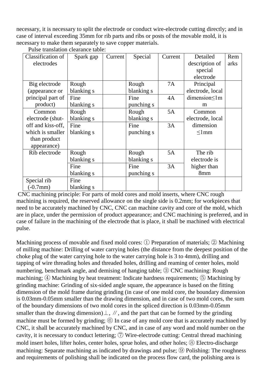necessary, it is necessary to split the electrode or conduct wire-electrode cutting directly; and in case of interval exceeding 35mm for rib parts and ribs or posts of the movable mold, it is necessary to make them separately to save copper materials.

| Classification of | Spark gap  | Current | Special    | Current | Detailed         | Rem  |
|-------------------|------------|---------|------------|---------|------------------|------|
| electrodes        |            |         |            |         | description of   | arks |
|                   |            |         |            |         | special          |      |
|                   |            |         |            |         | electrode        |      |
| Big electrode     | Rough      |         | Rough      | 7A      | Principal        |      |
| (appearance or    | blanking s |         | blanking s |         | electrode, local |      |
| principal part of | Fine       |         | Fine       | 4A      | dimension<1m     |      |
| product)          | blanking s |         | punching s |         | m                |      |
| Common            | Rough      |         | Rough      | 5A      | Common           |      |
| electrode (shut-  | blanking s |         | blanking s |         | electrode, local |      |
| off and kiss-off, | Fine       |         | Fine       | 3A      | dimension        |      |
| which is smaller  | blanking s |         | punching s |         | $\leq$ 1mm       |      |
| than product      |            |         |            |         |                  |      |
| appearance)       |            |         |            |         |                  |      |
| Rib electrode     | Rough      |         | Rough      | 5A      | The rib          |      |
|                   | blanking s |         | blanking s |         | electrode is     |      |
|                   | Fine       |         | Fine       | 3A      | higher than      |      |
|                   | blanking s |         | punching s |         | 8mm              |      |
| Special rib       | Fine       |         |            |         |                  |      |
| $(-0.7$ mm $)$    | blanking s |         |            |         |                  |      |

Pulse translation clearance table:

CNC machining principle: For parts of mold cores and mold inserts, where CNC rough machining is required, the reserved allowance on the single side is 0.2mm; for workpieces that need to be accurately machined by CNC, CNC can machine cavity and core of the mold, which are in place, under the permission of product appearance; and CNC machining is preferred, and in case of failure in the machining of the electrode that is place, it shall be machined with electrical pulse.

Machining process of movable and fixed mold cores: ① Preparation of materials; ② Machining of milling machine: Drilling of water carrying holes (the distance from the deepest position of the choke plug of the water carrying hole to the water carrying hole is 3 to 4mm), drilling and tapping of wire threading holes and threaded holes, drilling and reaming of center holes, mold numbering, benchmark angle, and demising of hanging table; ③ CNC machining: Rough machining; ④ Machining by heat treatment: Indicate hardness requirements; ⑤ Machining by grinding machine: Grinding of six-sided angle square, the appearance is based on the fitting dimension of the mold frame during grinding (in case of one mold core, the boundary dimension is 0.03mm-0.05mm smaller than the drawing dimension, and in case of two mold cores, the sum of the boundary dimensions of two mold cores in the spliced direction is 0.03mm-0.05mm smaller than the drawing dimension) $\perp$ ,  $\neq$ , and the part that can be formed by the grinding machine must be formed by grinding;  $\circled{6}$  In case of any mold core that is accurately machined by CNC, it shall be accurately machined by CNC, and in case of any word and mold number on the cavity, it is necessary to conduct lettering;  $\circled{7}$  Wire-electrode cutting: Central thread machining mold insert holes, lifter holes, center holes, sprue holes, and other holes; ⑧ Electro-discharge machining: Separate machining as indicated by drawings and pulse; ⑨ Polishing: The roughness and requirements of polishing shall be indicated on the process flow card, the polishing area is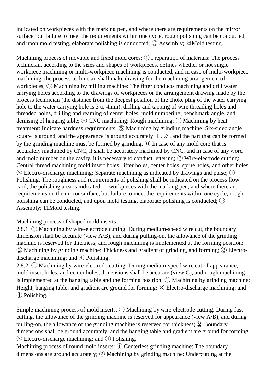indicated on workpieces with the marking pen, and where there are requirements on the mirror surface, but failure to meet the requirements within one cycle, rough polishing can be conducted, and upon mold testing, elaborate polishing is conducted; <sup>(10)</sup> Assembly; 14 Mold testing.

Machining process of movable and fixed mold cores: ① Preparation of materials: The process technician, according to the sizes and shapes of workpieces, defines whether or not single workpiece machining or multi-workpiece machining is conducted, and in case of multi-workpiece machining, the process technician shall make drawing for the machining arrangement of workpieces; ② Machining by milling machine: The fitter conducts machining and drill water carrying holes according to the drawings of workpieces or the arrangement drawing made by the process technician (the distance from the deepest position of the choke plug of the water carrying hole to the water carrying hole is 3 to 4mm), drilling and tapping of wire threading holes and threaded holes, drilling and reaming of center holes, mold numbering, benchmark angle, and demising of hanging table; ③ CNC machining: Rough machining; ④ Machining by heat treatment: Indicate hardness requirements; ⑤ Machining by grinding machine: Six-sided angle square is ground, and the appearance is ground accurately  $\perp$ ,  $\#$ , and the part that can be formed by the grinding machine must be formed by grinding;  $\circled{6}$  In case of any mold core that is accurately machined by CNC, it shall be accurately machined by CNC, and in case of any word and mold number on the cavity, it is necessary to conduct lettering;  $\circled{7}$  Wire-electrode cutting: Central thread machining mold insert holes, lifter holes, center holes, sprue holes, and other holes; ⑧ Electro-discharge machining: Separate machining as indicated by drawings and pulse; ⑨ Polishing: The roughness and requirements of polishing shall be indicated on the process flow card, the polishing area is indicated on workpieces with the marking pen, and where there are requirements on the mirror surface, but failure to meet the requirements within one cycle, rough polishing can be conducted, and upon mold testing, elaborate polishing is conducted; ⑩ Assembly; 14 Mold testing.

Machining process of shaped mold inserts:

2.8.1: ① Machining by wire-electrode cutting: During medium-speed wire cut, the boundary dimension shall be accurate (view A/B), and during pulling-on, the allowance of the grinding machine is reserved for thickness, and rough machining is implemented at the forming position; ② Machining by grinding machine: Thickness and gradient of grinding, and forming; ③ Electrodischarge machining; and ④ Polishing.

2.8.2: ① Machining by wire-electrode cutting: During medium-speed wire cut of appearance, mold insert holes, and center holes, dimensions shall be accurate (view C), and rough machining is implemented at the hanging table and the forming position; ② Machining by grinding machine: Height, hanging table, and gradient are ground for forming; ③ Electro-discharge machining; and ④ Polishing.

Simple machining process of mold inserts: ① Machining by wire-electrode cutting: During fast cutting, the allowance of the grinding machine is reserved for appearance (view A/B), and during pulling-on, the allowance of the grinding machine is reserved for thickness; ② Boundary dimensions shall be ground accurately, and the hanging table and gradient are ground for forming; ③ Electro-discharge machining; and ④ Polishing.

Machining process of round mold inserts: ① Centerless grinding machine: The boundary dimensions are ground accurately; ② Machining by grinding machine: Undercutting at the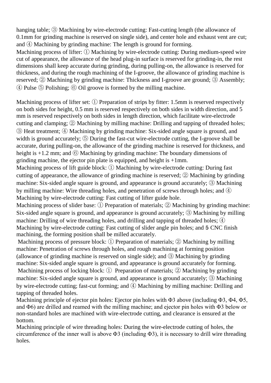hanging table; ③ Machining by wire-electrode cutting: Fast-cutting length (the allowance of 0.1mm for grinding machine is reserved on single side), and center hole and exhaust vent are cut; and ④ Machining by grinding machine: The length is ground for forming.

Machining process of lifter: ① Machining by wire-electrode cutting: During medium-speed wire cut of appearance, the allowance of the head plug-in surface is reserved for grinding-in, the rest dimensions shall keep accurate during grinding, during pulling-on, the allowance is reserved for thickness, and during the rough machining of the I-groove, the allowance of grinding machine is reserved; ② Machining by grinding machine: Thickness and I-groove are ground; ③ Assembly; ④ Pulse ⑤ Polishing; ⑥ Oil groove is formed by the milling machine.

Machining process of lifter set: ① Preparation of strips by fitter: 1.5mm is reserved respectively on both sides for height, 0.5 mm is reserved respectively on both sides in width direction, and 5 mm is reserved respectively on both sides in length direction, which facilitate wire-electrode cutting and clamping; ② Machining by milling machine: Drilling and tapping of threaded holes; ③ Heat treatment; ④ Machining by grinding machine: Six-sided angle square is ground, and width is ground accurately; **(5)** During the fast-cut wire-electrode cutting, the I-groove shall be accurate, during pulling-on, the allowance of the grinding machine is reserved for thickness, and height is  $+1.2$  mm; and  $\circled{6}$  Machining by grinding machine: The boundary dimensions of grinding machine, the ejector pin plate is equipped, and height is +1mm.

Machining process of lift guide block: ① Machining by wire-electrode cutting: During fast cutting of appearance, the allowance of grinding machine is reserved; ② Machining by grinding machine: Six-sided angle square is ground, and appearance is ground accurately; ③ Machining by milling machine: Wire threading holes, and penetration of screws through holes; and ④ Machining by wire-electrode cutting: Fast cutting of lifter guide hole.

Machining process of slider base: ① Preparation of materials; ② Machining by grinding machine: Six-sided angle square is ground, and appearance is ground accurately; ③ Machining by milling machine: Drilling of wire threading holes, and drilling and tapping of threaded holes;  $\Phi$ Machining by wire-electrode cutting: Fast cutting of slider angle pin holes; and 5 CNC finish machining, the forming position shall be milled accurately.

Machining process of pressure block: ① Preparation of materials; ② Machining by milling machine: Penetration of screws through holes, and rough machining at forming position (allowance of grinding machine is reserved on single side); and ③ Machining by grinding machine: Six-sided angle square is ground, and appearance is ground accurately for forming. Machining process of locking block: ① Preparation of materials; ② Machining by grinding machine: Six-sided angle square is ground, and appearance is ground accurately; ③ Machining by wire-electrode cutting; fast-cut forming; and ④ Machining by milling machine: Drilling and tapping of threaded holes.

Machining principle of ejector pin holes: Ejector pin holes with Φ3 above (including Φ3, Φ4, Φ5, and Φ6) are drilled and reamed with the milling machine; and ejector pin holes with Φ3 below or non-standard holes are machined with wire-electrode cutting, and clearance is ensured at the bottom.

Machining principle of wire threading holes: During the wire-electrode cutting of holes, the circumference of the inner wall is above  $\Phi$ 3 (including  $\Phi$ 3), it is necessary to drill wire threading holes.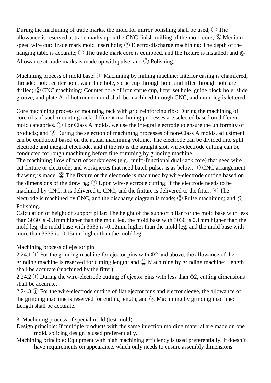During the machining of trade marks, the mold for mirror polishing shall be used, ① The allowance is reserved at trade marks upon the CNC finish-milling of the mold core; ② Mediumspeed wire cut: Trade mark mold insert hole; ③ Electro-discharge machining: The depth of the hanging table is accurate; ① The trade mark core is equipped, and the fixture is installed; and  $\ddot{\odot}$ Allowance at trade marks is made up with pulse; and ⑥ Polishing.

Machining process of mold base: ① Machining by milling machine: Interior casing is chamfered, threaded hole, center hole, waterline hole, sprue cup through hole, and lifter through hole are drilled; ② CNC machining: Counter bore of iron sprue cup, lifter set hole, guide block hole, slide groove, and plate A of hot runner mold shall be machined through CNC, and mold leg is lettered.

Core machining process of mounting rack with grid reinforcing ribs: During the machining of core ribs of such mounting rack, different machining processes are selected based on different mold categories. ① For Class A molds, we use the integral electrode to ensure the uniformity of products; and ② During the selection of machining processes of non-Class A molds, adjustment can be conducted based on the actual machining volume. The electrode can be divided into split electrode and integral electrode, and if the rib is the straight slot, wire-electrode cutting can be conducted for rough machining before fine trimming by grinding machine.

The machining flow of part of workpieces (e.g., multi-functional dual-jack core) that need wire cut fixture or electrode, and workpieces that need batch pulses is as below: ① CNC arrangement drawing is made; ② The fixture or the electrode is machined by wire-electrode cutting based on the dimensions of the drawing; ③ Upon wire-electrode cutting, if the electrode needs to be machined by CNC, it is delivered to CNC, and the fixture is delivered to the fitter;  $\Phi$  The electrode is machined by CNC, and the discharge diagram is made;  $\circled{5}$  Pulse machining; and  $\circled{6}$ Polishing.

Calculation of height of support pillar: The height of the support pillar for the mold base with less than 3030 is -0.1mm higher than the mold leg, the mold base with 3030 is 0.1mm higher than the mold leg, the mold base with 3535 is -0.12mm higher than the mold leg, and the mold base with more than 3535 is -0.15mm higher than the mold leg.

Machining process of ejector pin:

2.24.1 ① For the grinding machine for ejector pins with Φ2 and above, the allowance of the grinding machine is reserved for cutting length; and ② Machining by grinding machine: Length shall be accurate (machined by the fitter).

2.24.2 ① During the wire-electrode cutting of ejector pins with less than Φ2, cutting dimensions shall be accurate.

2.24.3 ① For the wire-electrode cutting of flat ejector pins and ejector sleeve, the allowance of the grinding machine is reserved for cutting length; and ② Machining by grinding machine: Length shall be accurate.

3. Machining process of special mold (test mold)

- Design principle: If multiple products with the same injection molding material are made on one mold, splicing design is used preferentially.
- Machining principle: Equipment with high machining efficiency is used preferentially. It doesn't have requirements on appearance, which only needs to ensure assembly dimensions.